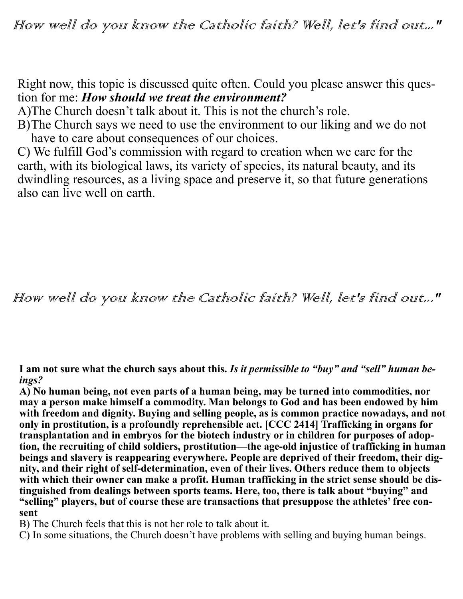Right now, this topic is discussed quite often. Could you please answer this question for me: *How should we treat the environment?*

A)The Church doesn't talk about it. This is not the church's role.

B)The Church says we need to use the environment to our liking and we do not have to care about consequences of our choices.

C) We fulfill God's commission with regard to creation when we care for the earth, with its biological laws, its variety of species, its natural beauty, and its dwindling resources, as a living space and preserve it, so that future generations also can live well on earth.

How well do you know the Catholic faith? Well, let's find out..."

**I am not sure what the church says about this.** *Is it permissible to "buy" and "sell" human beings?*

**A) No human being, not even parts of a human being, may be turned into commodities, nor may a person make himself a commodity. Man belongs to God and has been endowed by him with freedom and dignity. Buying and selling people, as is common practice nowadays, and not only in prostitution, is a profoundly reprehensible act. [CCC 2414] Trafficking in organs for transplantation and in embryos for the biotech industry or in children for purposes of adoption, the recruiting of child soldiers, prostitution—the age-old injustice of trafficking in human beings and slavery is reappearing everywhere. People are deprived of their freedom, their dignity, and their right of self-determination, even of their lives. Others reduce them to objects**  with which their owner can make a profit. Human trafficking in the strict sense should be dis**tinguished from dealings between sports teams. Here, too, there is talk about "buying" and "selling" players, but of course these are transactions that presuppose the athletes' free consent**

B) The Church feels that this is not her role to talk about it.

C) In some situations, the Church doesn't have problems with selling and buying human beings.